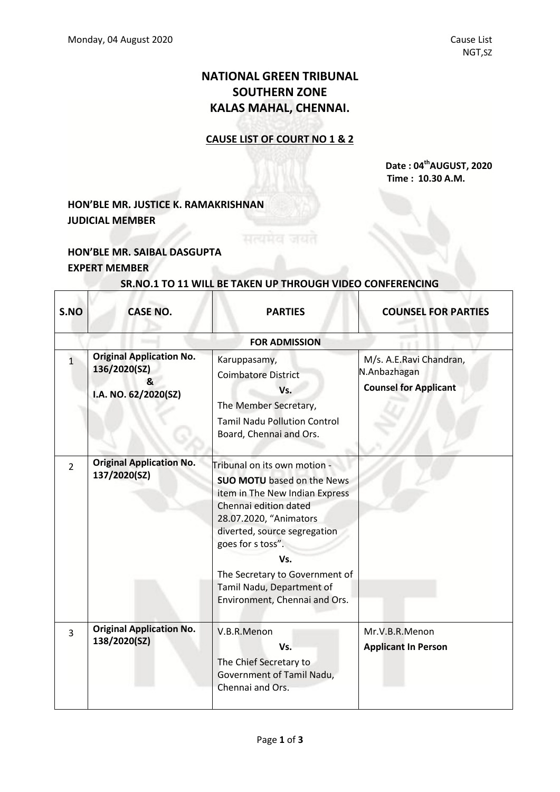## **NATIONAL GREEN TRIBUNAL SOUTHERN ZONE KALAS MAHAL, CHENNAI.**

#### **CAUSE LIST OF COURT NO 1 & 2**

 **Date : 04 thAUGUST, 2020 Time : 10.30 A.M.**

## **HON'BLE MR. JUSTICE K. RAMAKRISHNAN JUDICIAL MEMBER**

### **HON'BLE MR. SAIBAL DASGUPTA EXPERT MEMBER**

 $\overline{\Gamma}$ 

Τ

# **SR.NO.1 TO 11 WILL BE TAKEN UP THROUGH VIDEO CONFERENCING**

| S.NO                 | <b>CASE NO.</b>                                                              | <b>PARTIES</b>                                                                                                                                                                                                                                                                                                     | <b>COUNSEL FOR PARTIES</b>                                              |  |  |  |  |
|----------------------|------------------------------------------------------------------------------|--------------------------------------------------------------------------------------------------------------------------------------------------------------------------------------------------------------------------------------------------------------------------------------------------------------------|-------------------------------------------------------------------------|--|--|--|--|
| <b>FOR ADMISSION</b> |                                                                              |                                                                                                                                                                                                                                                                                                                    |                                                                         |  |  |  |  |
| $\overline{1}$       | <b>Original Application No.</b><br>136/2020(SZ)<br>&<br>I.A. NO. 62/2020(SZ) | Karuppasamy,<br><b>Coimbatore District</b><br>Vs.<br>The Member Secretary,<br><b>Tamil Nadu Pollution Control</b><br>Board, Chennai and Ors.                                                                                                                                                                       | M/s. A.E.Ravi Chandran,<br>N.Anbazhagan<br><b>Counsel for Applicant</b> |  |  |  |  |
| $\overline{2}$       | <b>Original Application No.</b><br>137/2020(SZ)                              | - Tribunal on its own motion<br><b>SUO MOTU</b> based on the News<br>item in The New Indian Express<br>Chennai edition dated<br>28.07.2020, "Animators<br>diverted, source segregation<br>goes for s toss".<br>Vs.<br>The Secretary to Government of<br>Tamil Nadu, Department of<br>Environment, Chennai and Ors. |                                                                         |  |  |  |  |
| $\overline{3}$       | <b>Original Application No.</b><br>138/2020(SZ)                              | V.B.R.Menon<br>Vs.<br>The Chief Secretary to<br>Government of Tamil Nadu,<br>Chennai and Ors.                                                                                                                                                                                                                      | Mr.V.B.R.Menon<br><b>Applicant In Person</b>                            |  |  |  |  |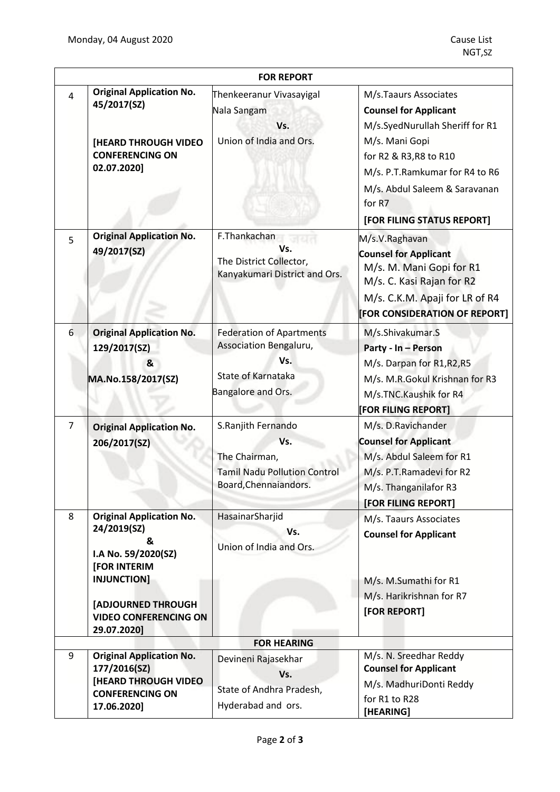|                    |                                                                                                                                                                                       | <b>FOR REPORT</b>                                                                                            |                                                                                                                                                                                                                   |  |  |
|--------------------|---------------------------------------------------------------------------------------------------------------------------------------------------------------------------------------|--------------------------------------------------------------------------------------------------------------|-------------------------------------------------------------------------------------------------------------------------------------------------------------------------------------------------------------------|--|--|
| $\overline{4}$     | <b>Original Application No.</b><br>45/2017(SZ)<br>[HEARD THROUGH VIDEO<br><b>CONFERENCING ON</b><br>02.07.2020]                                                                       | Thenkeeranur Vivasayigal<br>Nala Sangam<br>Vs.<br>Union of India and Ors.                                    | M/s.Taaurs Associates<br><b>Counsel for Applicant</b><br>M/s.SyedNurullah Sheriff for R1<br>M/s. Mani Gopi<br>for R2 & R3, R8 to R10<br>M/s. P.T.Ramkumar for R4 to R6<br>M/s. Abdul Saleem & Saravanan<br>for R7 |  |  |
|                    |                                                                                                                                                                                       |                                                                                                              | [FOR FILING STATUS REPORT]                                                                                                                                                                                        |  |  |
| 5                  | <b>Original Application No.</b><br>49/2017(SZ)                                                                                                                                        | F.Thankachan<br>Vs.<br>The District Collector,<br>Kanyakumari District and Ors.                              | M/s.V.Raghavan<br><b>Counsel for Applicant</b><br>M/s. M. Mani Gopi for R1<br>M/s. C. Kasi Rajan for R2<br>M/s. C.K.M. Apaji for LR of R4<br>[FOR CONSIDERATION OF REPORT]                                        |  |  |
| 6                  | <b>Original Application No.</b><br>129/2017(SZ)<br>&<br>MA.No.158/2017(SZ)                                                                                                            | <b>Federation of Apartments</b><br>Association Bengaluru,<br>Vs.<br>State of Karnataka<br>Bangalore and Ors. | M/s.Shivakumar.S<br>Party - In - Person<br>M/s. Darpan for R1, R2, R5<br>M/s. M.R.Gokul Krishnan for R3<br>M/s.TNC.Kaushik for R4<br>[FOR FILING REPORT]                                                          |  |  |
| $\overline{7}$     | <b>Original Application No.</b><br>206/2017(SZ)                                                                                                                                       | S.Ranjith Fernando<br>Vs.<br>The Chairman,<br><b>Tamil Nadu Pollution Control</b><br>Board, Chennaiandors.   | M/s. D.Ravichander<br><b>Counsel for Applicant</b><br>M/s. Abdul Saleem for R1<br>M/s. P.T.Ramadevi for R2<br>M/s. Thanganilafor R3<br><b>[FOR FILING REPORT]</b>                                                 |  |  |
| 8                  | <b>Original Application No.</b><br>24/2019(SZ)<br>&<br>I.A No. 59/2020(SZ)<br>[FOR INTERIM<br><b>INJUNCTION]</b><br>[ADJOURNED THROUGH<br><b>VIDEO CONFERENCING ON</b><br>29.07.2020] | HasainarSharjid<br>Vs.<br>Union of India and Ors.                                                            | M/s. Taaurs Associates<br><b>Counsel for Applicant</b><br>M/s. M.Sumathi for R1<br>M/s. Harikrishnan for R7<br>[FOR REPORT]                                                                                       |  |  |
| <b>FOR HEARING</b> |                                                                                                                                                                                       |                                                                                                              |                                                                                                                                                                                                                   |  |  |
| 9                  | <b>Original Application No.</b><br>177/2016(SZ)<br><b>[HEARD THROUGH VIDEO</b><br><b>CONFERENCING ON</b><br>17.06.2020]                                                               | Devineni Rajasekhar<br>Vs.<br>State of Andhra Pradesh,<br>Hyderabad and ors.                                 | M/s. N. Sreedhar Reddy<br><b>Counsel for Applicant</b><br>M/s. MadhuriDonti Reddy<br>for R1 to R28<br>[HEARING]                                                                                                   |  |  |